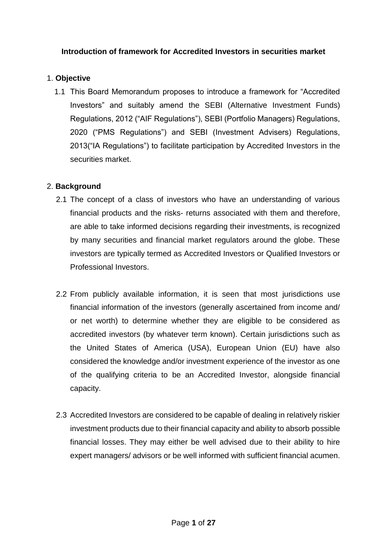## **Introduction of framework for Accredited Investors in securities market**

#### 1. **Objective**

1.1 This Board Memorandum proposes to introduce a framework for "Accredited Investors" and suitably amend the SEBI (Alternative Investment Funds) Regulations, 2012 ("AIF Regulations"), SEBI (Portfolio Managers) Regulations, 2020 ("PMS Regulations") and SEBI (Investment Advisers) Regulations, 2013("IA Regulations") to facilitate participation by Accredited Investors in the securities market.

#### 2. **Background**

- 2.1 The concept of a class of investors who have an understanding of various financial products and the risks- returns associated with them and therefore, are able to take informed decisions regarding their investments, is recognized by many securities and financial market regulators around the globe. These investors are typically termed as Accredited Investors or Qualified Investors or Professional Investors.
- 2.2 From publicly available information, it is seen that most jurisdictions use financial information of the investors (generally ascertained from income and/ or net worth) to determine whether they are eligible to be considered as accredited investors (by whatever term known). Certain jurisdictions such as the United States of America (USA), European Union (EU) have also considered the knowledge and/or investment experience of the investor as one of the qualifying criteria to be an Accredited Investor, alongside financial capacity.
- 2.3 Accredited Investors are considered to be capable of dealing in relatively riskier investment products due to their financial capacity and ability to absorb possible financial losses. They may either be well advised due to their ability to hire expert managers/ advisors or be well informed with sufficient financial acumen.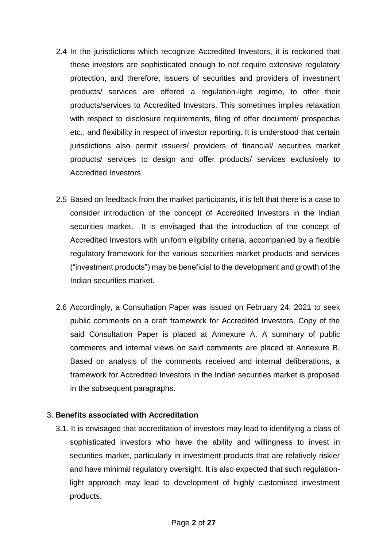- 2.4 In the jurisdictions which recognize Accredited Investors, it is reckoned that these investors are sophisticated enough to not require extensive regulatory protection, and therefore, issuers of securities and providers of investment products/ services are offered a regulation-light regime, to offer their products/services to Accredited Investors. This sometimes implies relaxation with respect to disclosure requirements, filing of offer document/ prospectus etc., and flexibility in respect of investor reporting. It is understood that certain jurisdictions also permit issuers/ providers of financial/ securities market products/ services to design and offer products/ services exclusively to Accredited Investors.
- 2.5 Based on feedback from the market participants, it is felt that there is a case to consider introduction of the concept of Accredited Investors in the Indian securities market. It is envisaged that the introduction of the concept of Accredited Investors with uniform eligibility criteria, accompanied by a flexible regulatory framework for the various securities market products and services ("investment products") may be beneficial to the development and growth of the Indian securities market.
- 2.6 Accordingly, a Consultation Paper was issued on February 24, 2021 to seek public comments on a draft framework for Accredited Investors. Copy of the said Consultation Paper is placed at Annexure A. A summary of public comments and internal views on said comments are placed at Annexure B. Based on analysis of the comments received and internal deliberations, a framework for Accredited Investors in the Indian securities market is proposed in the subsequent paragraphs.

#### 3. **Benefits associated with Accreditation**

3.1. It is envisaged that accreditation of investors may lead to identifying a class of sophisticated investors who have the ability and willingness to invest in securities market, particularly in investment products that are relatively riskier and have minimal regulatory oversight. It is also expected that such regulationlight approach may lead to development of highly customised investment products.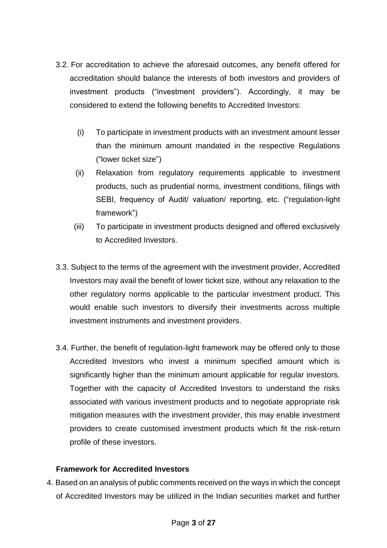- 3.2. For accreditation to achieve the aforesaid outcomes, any benefit offered for accreditation should balance the interests of both investors and providers of investment products ("investment providers"). Accordingly, it may be considered to extend the following benefits to Accredited Investors:
	- (i) To participate in investment products with an investment amount lesser than the minimum amount mandated in the respective Regulations ("lower ticket size")
	- (ii) Relaxation from regulatory requirements applicable to investment products, such as prudential norms, investment conditions, filings with SEBI, frequency of Audit/ valuation/ reporting, etc. ("regulation-light framework")
	- (iii) To participate in investment products designed and offered exclusively to Accredited Investors.
- 3.3. Subject to the terms of the agreement with the investment provider, Accredited Investors may avail the benefit of lower ticket size, without any relaxation to the other regulatory norms applicable to the particular investment product. This would enable such investors to diversify their investments across multiple investment instruments and investment providers.
- 3.4. Further, the benefit of regulation-light framework may be offered only to those Accredited Investors who invest a minimum specified amount which is significantly higher than the minimum amount applicable for regular investors. Together with the capacity of Accredited Investors to understand the risks associated with various investment products and to negotiate appropriate risk mitigation measures with the investment provider, this may enable investment providers to create customised investment products which fit the risk-return profile of these investors.

## **Framework for Accredited Investors**

4. Based on an analysis of public comments received on the ways in which the concept of Accredited Investors may be utilized in the Indian securities market and further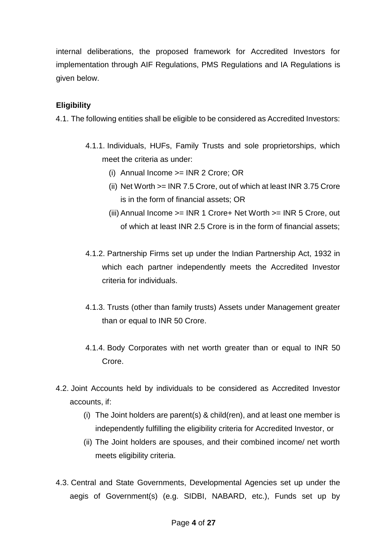internal deliberations, the proposed framework for Accredited Investors for implementation through AIF Regulations, PMS Regulations and IA Regulations is given below.

## **Eligibility**

4.1. The following entities shall be eligible to be considered as Accredited Investors:

- 4.1.1. Individuals, HUFs, Family Trusts and sole proprietorships, which meet the criteria as under:
	- (i) Annual Income >= INR 2 Crore; OR
	- (ii) Net Worth >= INR 7.5 Crore, out of which at least INR 3.75 Crore is in the form of financial assets; OR
	- (iii) Annual Income >= INR 1 Crore+ Net Worth >= INR 5 Crore, out of which at least INR 2.5 Crore is in the form of financial assets;
- 4.1.2. Partnership Firms set up under the Indian Partnership Act, 1932 in which each partner independently meets the Accredited Investor criteria for individuals.
- 4.1.3. Trusts (other than family trusts) Assets under Management greater than or equal to INR 50 Crore.
- 4.1.4. Body Corporates with net worth greater than or equal to INR 50 Crore.
- 4.2. Joint Accounts held by individuals to be considered as Accredited Investor accounts, if:
	- (i) The Joint holders are parent(s) & child(ren), and at least one member is independently fulfilling the eligibility criteria for Accredited Investor, or
	- (ii) The Joint holders are spouses, and their combined income/ net worth meets eligibility criteria.
- 4.3. Central and State Governments, Developmental Agencies set up under the aegis of Government(s) (e.g. SIDBI, NABARD, etc.), Funds set up by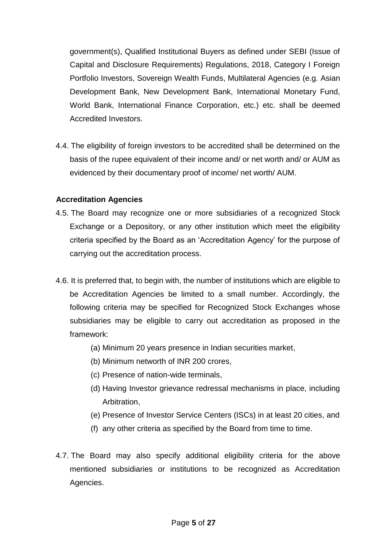government(s), Qualified Institutional Buyers as defined under SEBI (Issue of Capital and Disclosure Requirements) Regulations, 2018, Category I Foreign Portfolio Investors, Sovereign Wealth Funds, Multilateral Agencies (e.g. Asian Development Bank, New Development Bank, International Monetary Fund, World Bank, International Finance Corporation, etc.) etc. shall be deemed Accredited Investors.

4.4. The eligibility of foreign investors to be accredited shall be determined on the basis of the rupee equivalent of their income and/ or net worth and/ or AUM as evidenced by their documentary proof of income/ net worth/ AUM.

#### **Accreditation Agencies**

- 4.5. The Board may recognize one or more subsidiaries of a recognized Stock Exchange or a Depository, or any other institution which meet the eligibility criteria specified by the Board as an 'Accreditation Agency' for the purpose of carrying out the accreditation process.
- 4.6. It is preferred that, to begin with, the number of institutions which are eligible to be Accreditation Agencies be limited to a small number. Accordingly, the following criteria may be specified for Recognized Stock Exchanges whose subsidiaries may be eligible to carry out accreditation as proposed in the framework:
	- (a) Minimum 20 years presence in Indian securities market,
	- (b) Minimum networth of INR 200 crores,
	- (c) Presence of nation-wide terminals,
	- (d) Having Investor grievance redressal mechanisms in place, including Arbitration,
	- (e) Presence of Investor Service Centers (ISCs) in at least 20 cities, and
	- (f) any other criteria as specified by the Board from time to time.
- 4.7. The Board may also specify additional eligibility criteria for the above mentioned subsidiaries or institutions to be recognized as Accreditation Agencies.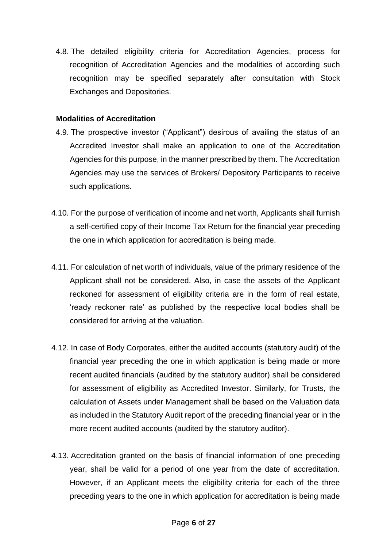4.8. The detailed eligibility criteria for Accreditation Agencies, process for recognition of Accreditation Agencies and the modalities of according such recognition may be specified separately after consultation with Stock Exchanges and Depositories.

#### **Modalities of Accreditation**

- 4.9. The prospective investor ("Applicant") desirous of availing the status of an Accredited Investor shall make an application to one of the Accreditation Agencies for this purpose, in the manner prescribed by them. The Accreditation Agencies may use the services of Brokers/ Depository Participants to receive such applications.
- 4.10. For the purpose of verification of income and net worth, Applicants shall furnish a self-certified copy of their Income Tax Return for the financial year preceding the one in which application for accreditation is being made.
- 4.11. For calculation of net worth of individuals, value of the primary residence of the Applicant shall not be considered. Also, in case the assets of the Applicant reckoned for assessment of eligibility criteria are in the form of real estate, 'ready reckoner rate' as published by the respective local bodies shall be considered for arriving at the valuation.
- 4.12. In case of Body Corporates, either the audited accounts (statutory audit) of the financial year preceding the one in which application is being made or more recent audited financials (audited by the statutory auditor) shall be considered for assessment of eligibility as Accredited Investor. Similarly, for Trusts, the calculation of Assets under Management shall be based on the Valuation data as included in the Statutory Audit report of the preceding financial year or in the more recent audited accounts (audited by the statutory auditor).
- 4.13. Accreditation granted on the basis of financial information of one preceding year, shall be valid for a period of one year from the date of accreditation. However, if an Applicant meets the eligibility criteria for each of the three preceding years to the one in which application for accreditation is being made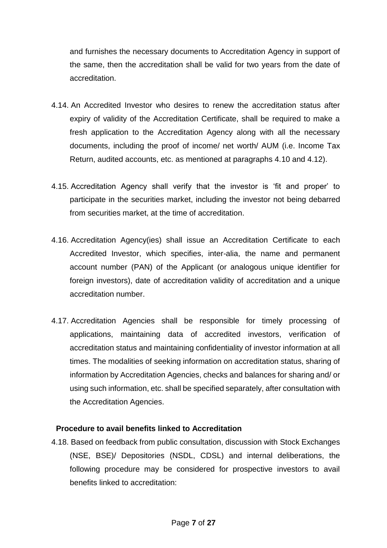and furnishes the necessary documents to Accreditation Agency in support of the same, then the accreditation shall be valid for two years from the date of accreditation.

- 4.14. An Accredited Investor who desires to renew the accreditation status after expiry of validity of the Accreditation Certificate, shall be required to make a fresh application to the Accreditation Agency along with all the necessary documents, including the proof of income/ net worth/ AUM (i.e. Income Tax Return, audited accounts, etc. as mentioned at paragraphs 4.10 and 4.12).
- 4.15. Accreditation Agency shall verify that the investor is 'fit and proper' to participate in the securities market, including the investor not being debarred from securities market, at the time of accreditation.
- 4.16. Accreditation Agency(ies) shall issue an Accreditation Certificate to each Accredited Investor, which specifies, inter-alia, the name and permanent account number (PAN) of the Applicant (or analogous unique identifier for foreign investors), date of accreditation validity of accreditation and a unique accreditation number.
- 4.17. Accreditation Agencies shall be responsible for timely processing of applications, maintaining data of accredited investors, verification of accreditation status and maintaining confidentiality of investor information at all times. The modalities of seeking information on accreditation status, sharing of information by Accreditation Agencies, checks and balances for sharing and/ or using such information, etc. shall be specified separately, after consultation with the Accreditation Agencies.

#### **Procedure to avail benefits linked to Accreditation**

4.18. Based on feedback from public consultation, discussion with Stock Exchanges (NSE, BSE)/ Depositories (NSDL, CDSL) and internal deliberations, the following procedure may be considered for prospective investors to avail benefits linked to accreditation: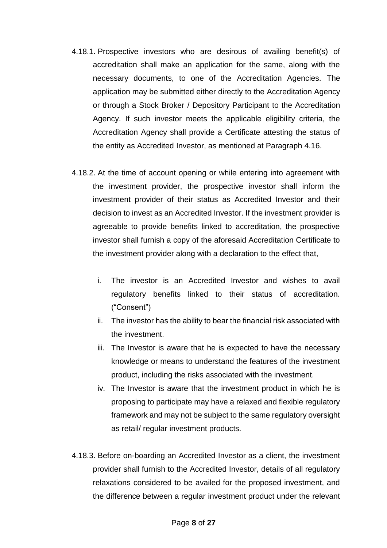- 4.18.1. Prospective investors who are desirous of availing benefit(s) of accreditation shall make an application for the same, along with the necessary documents, to one of the Accreditation Agencies. The application may be submitted either directly to the Accreditation Agency or through a Stock Broker / Depository Participant to the Accreditation Agency. If such investor meets the applicable eligibility criteria, the Accreditation Agency shall provide a Certificate attesting the status of the entity as Accredited Investor, as mentioned at Paragraph 4.16.
- 4.18.2. At the time of account opening or while entering into agreement with the investment provider, the prospective investor shall inform the investment provider of their status as Accredited Investor and their decision to invest as an Accredited Investor. If the investment provider is agreeable to provide benefits linked to accreditation, the prospective investor shall furnish a copy of the aforesaid Accreditation Certificate to the investment provider along with a declaration to the effect that,
	- i. The investor is an Accredited Investor and wishes to avail regulatory benefits linked to their status of accreditation. ("Consent")
	- ii. The investor has the ability to bear the financial risk associated with the investment.
	- iii. The Investor is aware that he is expected to have the necessary knowledge or means to understand the features of the investment product, including the risks associated with the investment.
	- iv. The Investor is aware that the investment product in which he is proposing to participate may have a relaxed and flexible regulatory framework and may not be subject to the same regulatory oversight as retail/ regular investment products.
- 4.18.3. Before on-boarding an Accredited Investor as a client, the investment provider shall furnish to the Accredited Investor, details of all regulatory relaxations considered to be availed for the proposed investment, and the difference between a regular investment product under the relevant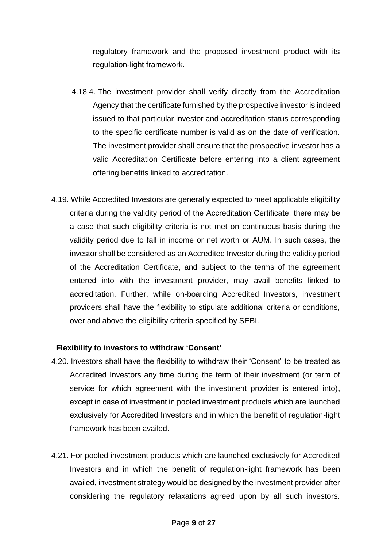regulatory framework and the proposed investment product with its regulation-light framework.

- 4.18.4. The investment provider shall verify directly from the Accreditation Agency that the certificate furnished by the prospective investor is indeed issued to that particular investor and accreditation status corresponding to the specific certificate number is valid as on the date of verification. The investment provider shall ensure that the prospective investor has a valid Accreditation Certificate before entering into a client agreement offering benefits linked to accreditation.
- 4.19. While Accredited Investors are generally expected to meet applicable eligibility criteria during the validity period of the Accreditation Certificate, there may be a case that such eligibility criteria is not met on continuous basis during the validity period due to fall in income or net worth or AUM. In such cases, the investor shall be considered as an Accredited Investor during the validity period of the Accreditation Certificate, and subject to the terms of the agreement entered into with the investment provider, may avail benefits linked to accreditation. Further, while on-boarding Accredited Investors, investment providers shall have the flexibility to stipulate additional criteria or conditions, over and above the eligibility criteria specified by SEBI.

#### **Flexibility to investors to withdraw 'Consent'**

- 4.20. Investors shall have the flexibility to withdraw their 'Consent' to be treated as Accredited Investors any time during the term of their investment (or term of service for which agreement with the investment provider is entered into), except in case of investment in pooled investment products which are launched exclusively for Accredited Investors and in which the benefit of regulation-light framework has been availed.
- 4.21. For pooled investment products which are launched exclusively for Accredited Investors and in which the benefit of regulation-light framework has been availed, investment strategy would be designed by the investment provider after considering the regulatory relaxations agreed upon by all such investors.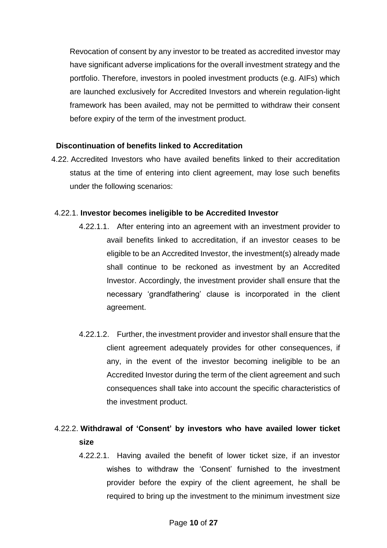Revocation of consent by any investor to be treated as accredited investor may have significant adverse implications for the overall investment strategy and the portfolio. Therefore, investors in pooled investment products (e.g. AIFs) which are launched exclusively for Accredited Investors and wherein regulation-light framework has been availed, may not be permitted to withdraw their consent before expiry of the term of the investment product.

#### **Discontinuation of benefits linked to Accreditation**

4.22. Accredited Investors who have availed benefits linked to their accreditation status at the time of entering into client agreement, may lose such benefits under the following scenarios:

#### 4.22.1. **Investor becomes ineligible to be Accredited Investor**

- 4.22.1.1. After entering into an agreement with an investment provider to avail benefits linked to accreditation, if an investor ceases to be eligible to be an Accredited Investor, the investment(s) already made shall continue to be reckoned as investment by an Accredited Investor. Accordingly, the investment provider shall ensure that the necessary 'grandfathering' clause is incorporated in the client agreement.
- 4.22.1.2. Further, the investment provider and investor shall ensure that the client agreement adequately provides for other consequences, if any, in the event of the investor becoming ineligible to be an Accredited Investor during the term of the client agreement and such consequences shall take into account the specific characteristics of the investment product.

## 4.22.2. **Withdrawal of 'Consent' by investors who have availed lower ticket size**

4.22.2.1. Having availed the benefit of lower ticket size, if an investor wishes to withdraw the 'Consent' furnished to the investment provider before the expiry of the client agreement, he shall be required to bring up the investment to the minimum investment size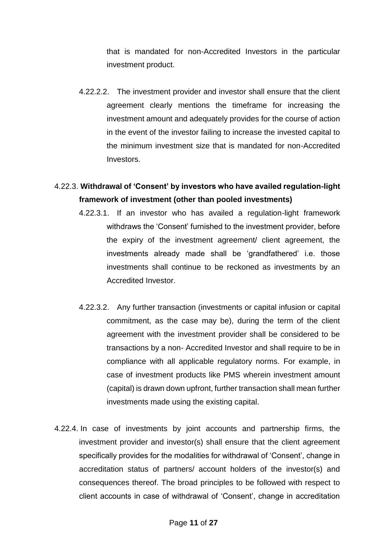that is mandated for non-Accredited Investors in the particular investment product.

4.22.2.2. The investment provider and investor shall ensure that the client agreement clearly mentions the timeframe for increasing the investment amount and adequately provides for the course of action in the event of the investor failing to increase the invested capital to the minimum investment size that is mandated for non-Accredited Investors.

# 4.22.3. **Withdrawal of 'Consent' by investors who have availed regulation-light framework of investment (other than pooled investments)**

- 4.22.3.1. If an investor who has availed a regulation-light framework withdraws the 'Consent' furnished to the investment provider, before the expiry of the investment agreement/ client agreement, the investments already made shall be 'grandfathered' i.e. those investments shall continue to be reckoned as investments by an Accredited Investor.
- 4.22.3.2. Any further transaction (investments or capital infusion or capital commitment, as the case may be), during the term of the client agreement with the investment provider shall be considered to be transactions by a non- Accredited Investor and shall require to be in compliance with all applicable regulatory norms. For example, in case of investment products like PMS wherein investment amount (capital) is drawn down upfront, further transaction shall mean further investments made using the existing capital.
- 4.22.4. In case of investments by joint accounts and partnership firms, the investment provider and investor(s) shall ensure that the client agreement specifically provides for the modalities for withdrawal of 'Consent', change in accreditation status of partners/ account holders of the investor(s) and consequences thereof. The broad principles to be followed with respect to client accounts in case of withdrawal of 'Consent', change in accreditation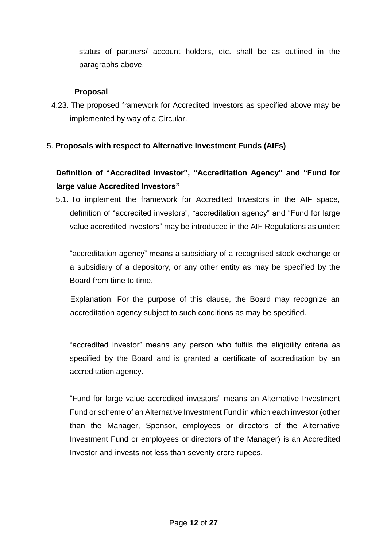status of partners/ account holders, etc. shall be as outlined in the paragraphs above.

### **Proposal**

4.23. The proposed framework for Accredited Investors as specified above may be implemented by way of a Circular.

## 5. **Proposals with respect to Alternative Investment Funds (AIFs)**

# **Definition of "Accredited Investor", "Accreditation Agency" and "Fund for large value Accredited Investors"**

5.1. To implement the framework for Accredited Investors in the AIF space, definition of "accredited investors", "accreditation agency" and "Fund for large value accredited investors" may be introduced in the AIF Regulations as under:

"accreditation agency" means a subsidiary of a recognised stock exchange or a subsidiary of a depository, or any other entity as may be specified by the Board from time to time.

Explanation: For the purpose of this clause, the Board may recognize an accreditation agency subject to such conditions as may be specified.

"accredited investor" means any person who fulfils the eligibility criteria as specified by the Board and is granted a certificate of accreditation by an accreditation agency.

"Fund for large value accredited investors" means an Alternative Investment Fund or scheme of an Alternative Investment Fund in which each investor (other than the Manager, Sponsor, employees or directors of the Alternative Investment Fund or employees or directors of the Manager) is an Accredited Investor and invests not less than seventy crore rupees.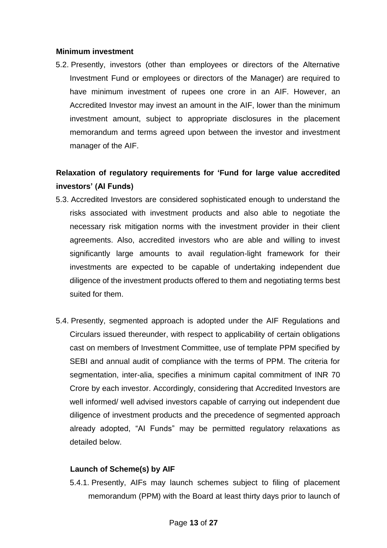#### **Minimum investment**

5.2. Presently, investors (other than employees or directors of the Alternative Investment Fund or employees or directors of the Manager) are required to have minimum investment of rupees one crore in an AIF. However, an Accredited Investor may invest an amount in the AIF, lower than the minimum investment amount, subject to appropriate disclosures in the placement memorandum and terms agreed upon between the investor and investment manager of the AIF.

# **Relaxation of regulatory requirements for 'Fund for large value accredited investors' (AI Funds)**

- 5.3. Accredited Investors are considered sophisticated enough to understand the risks associated with investment products and also able to negotiate the necessary risk mitigation norms with the investment provider in their client agreements. Also, accredited investors who are able and willing to invest significantly large amounts to avail regulation-light framework for their investments are expected to be capable of undertaking independent due diligence of the investment products offered to them and negotiating terms best suited for them.
- 5.4. Presently, segmented approach is adopted under the AIF Regulations and Circulars issued thereunder, with respect to applicability of certain obligations cast on members of Investment Committee, use of template PPM specified by SEBI and annual audit of compliance with the terms of PPM. The criteria for segmentation, inter-alia, specifies a minimum capital commitment of INR 70 Crore by each investor. Accordingly, considering that Accredited Investors are well informed/ well advised investors capable of carrying out independent due diligence of investment products and the precedence of segmented approach already adopted, "AI Funds" may be permitted regulatory relaxations as detailed below.

## **Launch of Scheme(s) by AIF**

5.4.1. Presently, AIFs may launch schemes subject to filing of placement memorandum (PPM) with the Board at least thirty days prior to launch of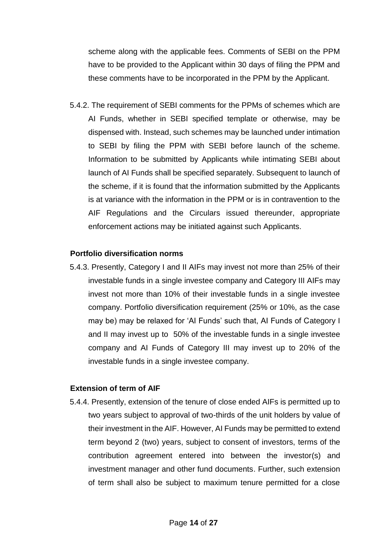scheme along with the applicable fees. Comments of SEBI on the PPM have to be provided to the Applicant within 30 days of filing the PPM and these comments have to be incorporated in the PPM by the Applicant.

5.4.2. The requirement of SEBI comments for the PPMs of schemes which are AI Funds, whether in SEBI specified template or otherwise, may be dispensed with. Instead, such schemes may be launched under intimation to SEBI by filing the PPM with SEBI before launch of the scheme. Information to be submitted by Applicants while intimating SEBI about launch of AI Funds shall be specified separately. Subsequent to launch of the scheme, if it is found that the information submitted by the Applicants is at variance with the information in the PPM or is in contravention to the AIF Regulations and the Circulars issued thereunder, appropriate enforcement actions may be initiated against such Applicants.

#### **Portfolio diversification norms**

5.4.3. Presently, Category I and II AIFs may invest not more than 25% of their investable funds in a single investee company and Category III AIFs may invest not more than 10% of their investable funds in a single investee company. Portfolio diversification requirement (25% or 10%, as the case may be) may be relaxed for 'AI Funds' such that, AI Funds of Category I and II may invest up to 50% of the investable funds in a single investee company and AI Funds of Category III may invest up to 20% of the investable funds in a single investee company.

#### **Extension of term of AIF**

5.4.4. Presently, extension of the tenure of close ended AIFs is permitted up to two years subject to approval of two-thirds of the unit holders by value of their investment in the AIF. However, AI Funds may be permitted to extend term beyond 2 (two) years, subject to consent of investors, terms of the contribution agreement entered into between the investor(s) and investment manager and other fund documents. Further, such extension of term shall also be subject to maximum tenure permitted for a close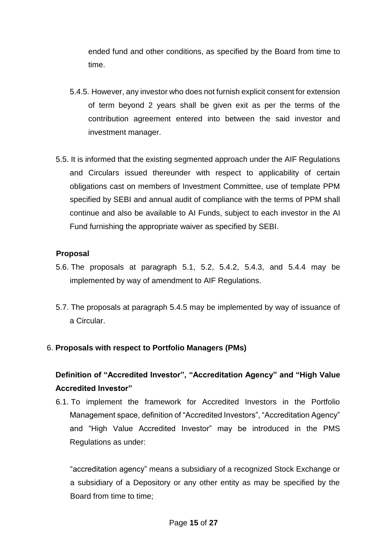ended fund and other conditions, as specified by the Board from time to time.

- 5.4.5. However, any investor who does not furnish explicit consent for extension of term beyond 2 years shall be given exit as per the terms of the contribution agreement entered into between the said investor and investment manager.
- 5.5. It is informed that the existing segmented approach under the AIF Regulations and Circulars issued thereunder with respect to applicability of certain obligations cast on members of Investment Committee, use of template PPM specified by SEBI and annual audit of compliance with the terms of PPM shall continue and also be available to AI Funds, subject to each investor in the AI Fund furnishing the appropriate waiver as specified by SEBI.

#### **Proposal**

- 5.6. The proposals at paragraph 5.1, 5.2, 5.4.2, 5.4.3, and 5.4.4 may be implemented by way of amendment to AIF Regulations.
- 5.7. The proposals at paragraph 5.4.5 may be implemented by way of issuance of a Circular.

## 6. **Proposals with respect to Portfolio Managers (PMs)**

## **Definition of "Accredited Investor", "Accreditation Agency" and "High Value Accredited Investor"**

6.1. To implement the framework for Accredited Investors in the Portfolio Management space, definition of "Accredited Investors", "Accreditation Agency" and "High Value Accredited Investor" may be introduced in the PMS Regulations as under:

"accreditation agency" means a subsidiary of a recognized Stock Exchange or a subsidiary of a Depository or any other entity as may be specified by the Board from time to time;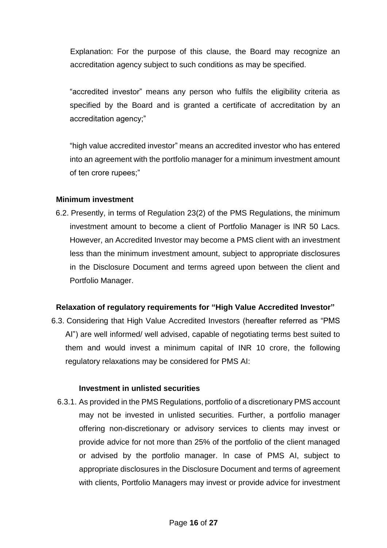Explanation: For the purpose of this clause, the Board may recognize an accreditation agency subject to such conditions as may be specified.

"accredited investor" means any person who fulfils the eligibility criteria as specified by the Board and is granted a certificate of accreditation by an accreditation agency;"

"high value accredited investor" means an accredited investor who has entered into an agreement with the portfolio manager for a minimum investment amount of ten crore rupees;"

#### **Minimum investment**

6.2. Presently, in terms of Regulation 23(2) of the PMS Regulations, the minimum investment amount to become a client of Portfolio Manager is INR 50 Lacs. However, an Accredited Investor may become a PMS client with an investment less than the minimum investment amount, subject to appropriate disclosures in the Disclosure Document and terms agreed upon between the client and Portfolio Manager.

#### **Relaxation of regulatory requirements for "High Value Accredited Investor"**

6.3. Considering that High Value Accredited Investors (hereafter referred as "PMS AI") are well informed/ well advised, capable of negotiating terms best suited to them and would invest a minimum capital of INR 10 crore, the following regulatory relaxations may be considered for PMS AI:

#### **Investment in unlisted securities**

6.3.1. As provided in the PMS Regulations, portfolio of a discretionary PMS account may not be invested in unlisted securities. Further, a portfolio manager offering non-discretionary or advisory services to clients may invest or provide advice for not more than 25% of the portfolio of the client managed or advised by the portfolio manager. In case of PMS AI, subject to appropriate disclosures in the Disclosure Document and terms of agreement with clients, Portfolio Managers may invest or provide advice for investment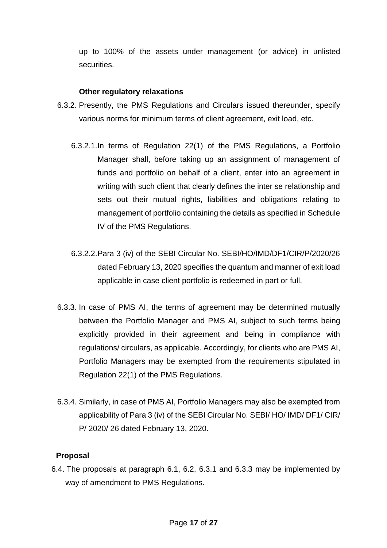up to 100% of the assets under management (or advice) in unlisted securities.

#### **Other regulatory relaxations**

- 6.3.2. Presently, the PMS Regulations and Circulars issued thereunder, specify various norms for minimum terms of client agreement, exit load, etc.
	- 6.3.2.1.In terms of Regulation 22(1) of the PMS Regulations, a Portfolio Manager shall, before taking up an assignment of management of funds and portfolio on behalf of a client, enter into an agreement in writing with such client that clearly defines the inter se relationship and sets out their mutual rights, liabilities and obligations relating to management of portfolio containing the details as specified in Schedule IV of the PMS Regulations.
	- 6.3.2.2.Para 3 (iv) of the SEBI Circular No. SEBI/HO/IMD/DF1/CIR/P/2020/26 dated February 13, 2020 specifies the quantum and manner of exit load applicable in case client portfolio is redeemed in part or full.
- 6.3.3. In case of PMS AI, the terms of agreement may be determined mutually between the Portfolio Manager and PMS AI, subject to such terms being explicitly provided in their agreement and being in compliance with regulations/ circulars, as applicable. Accordingly, for clients who are PMS AI, Portfolio Managers may be exempted from the requirements stipulated in Regulation 22(1) of the PMS Regulations.
- 6.3.4. Similarly, in case of PMS AI, Portfolio Managers may also be exempted from applicability of Para 3 (iv) of the SEBI Circular No. SEBI/ HO/ IMD/ DF1/ CIR/ P/ 2020/ 26 dated February 13, 2020.

## **Proposal**

6.4. The proposals at paragraph 6.1, 6.2, 6.3.1 and 6.3.3 may be implemented by way of amendment to PMS Regulations.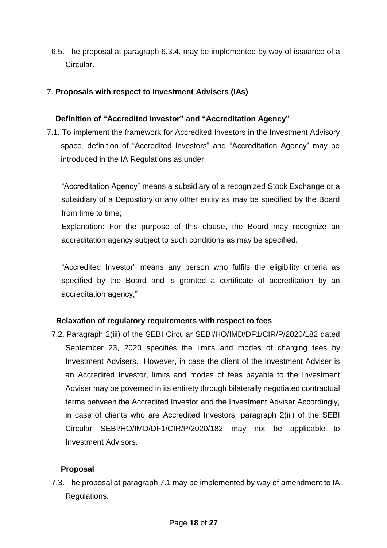6.5. The proposal at paragraph 6.3.4. may be implemented by way of issuance of a Circular.

## 7. **Proposals with respect to Investment Advisers (IAs)**

### **Definition of "Accredited Investor" and "Accreditation Agency"**

7.1. To implement the framework for Accredited Investors in the Investment Advisory space, definition of "Accredited Investors" and "Accreditation Agency" may be introduced in the IA Regulations as under:

"Accreditation Agency" means a subsidiary of a recognized Stock Exchange or a subsidiary of a Depository or any other entity as may be specified by the Board from time to time;

Explanation: For the purpose of this clause, the Board may recognize an accreditation agency subject to such conditions as may be specified.

"Accredited Investor" means any person who fulfils the eligibility criteria as specified by the Board and is granted a certificate of accreditation by an accreditation agency;"

#### **Relaxation of regulatory requirements with respect to fees**

7.2. Paragraph 2(iii) of the SEBI Circular SEBI/HO/IMD/DF1/CIR/P/2020/182 dated September 23, 2020 specifies the limits and modes of charging fees by Investment Advisers. However, in case the client of the Investment Adviser is an Accredited Investor, limits and modes of fees payable to the Investment Adviser may be governed in its entirety through bilaterally negotiated contractual terms between the Accredited Investor and the Investment Adviser Accordingly, in case of clients who are Accredited Investors, paragraph 2(iii) of the SEBI Circular SEBI/HO/IMD/DF1/CIR/P/2020/182 may not be applicable to Investment Advisors.

## **Proposal**

7.3. The proposal at paragraph 7.1 may be implemented by way of amendment to IA Regulations.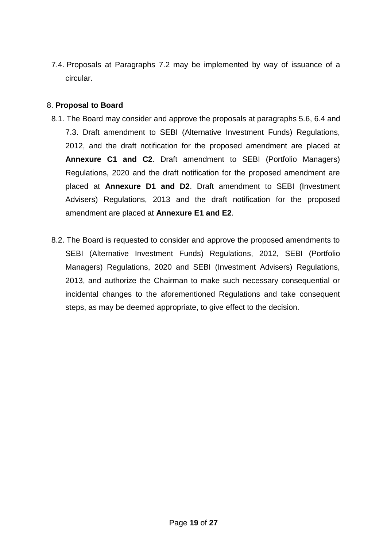7.4. Proposals at Paragraphs 7.2 may be implemented by way of issuance of a circular.

#### 8. **Proposal to Board**

- 8.1. The Board may consider and approve the proposals at paragraphs 5.6, 6.4 and 7.3. Draft amendment to SEBI (Alternative Investment Funds) Regulations, 2012, and the draft notification for the proposed amendment are placed at **Annexure C1 and C2**. Draft amendment to SEBI (Portfolio Managers) Regulations, 2020 and the draft notification for the proposed amendment are placed at **Annexure D1 and D2**. Draft amendment to SEBI (Investment Advisers) Regulations, 2013 and the draft notification for the proposed amendment are placed at **Annexure E1 and E2**.
- 8.2. The Board is requested to consider and approve the proposed amendments to SEBI (Alternative Investment Funds) Regulations, 2012, SEBI (Portfolio Managers) Regulations, 2020 and SEBI (Investment Advisers) Regulations, 2013, and authorize the Chairman to make such necessary consequential or incidental changes to the aforementioned Regulations and take consequent steps, as may be deemed appropriate, to give effect to the decision.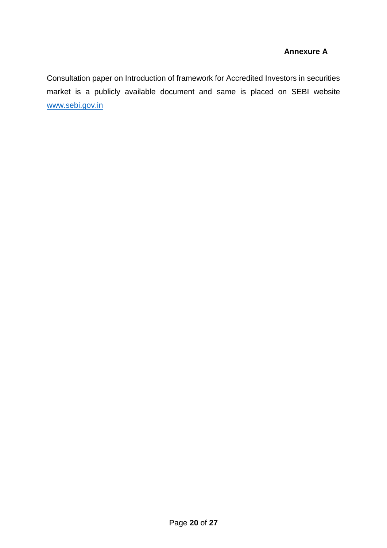## **Annexure A**

Consultation paper on Introduction of framework for Accredited Investors in securities market is a publicly available document and same is placed on SEBI website [www.sebi.gov.in](http://www.sebi.gov.in/)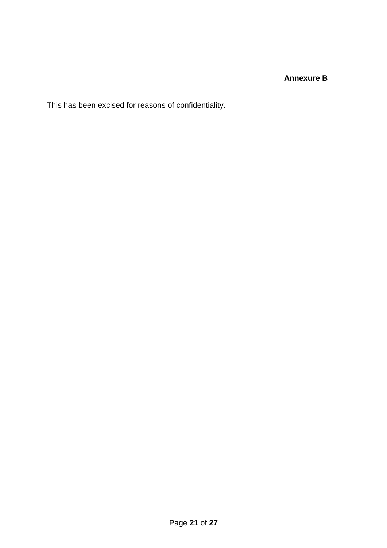## **Annexure B**

This has been excised for reasons of confidentiality.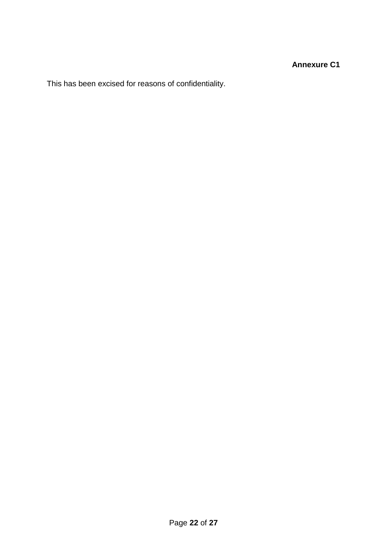This has been excised for reasons of confidentiality.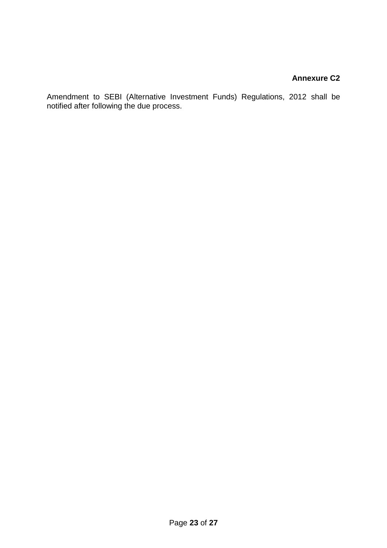## **Annexure C2**

Amendment to SEBI (Alternative Investment Funds) Regulations, 2012 shall be notified after following the due process.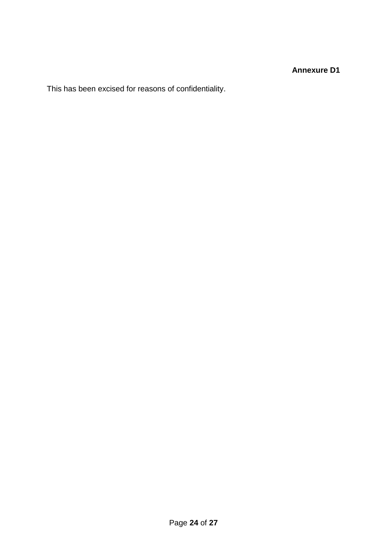**Annexure D1**

This has been excised for reasons of confidentiality.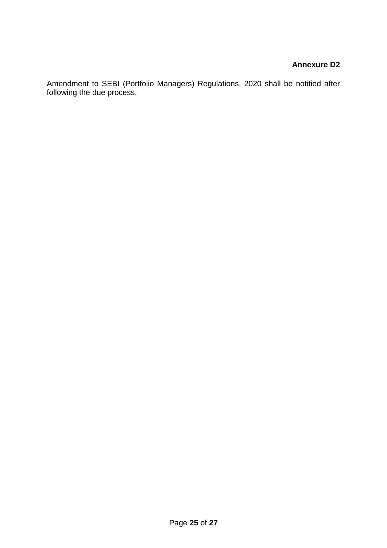## **Annexure D2**

Amendment to SEBI (Portfolio Managers) Regulations, 2020 shall be notified after following the due process.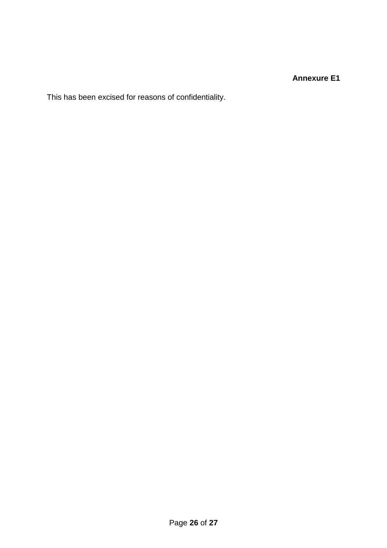## **Annexure E1**

This has been excised for reasons of confidentiality.